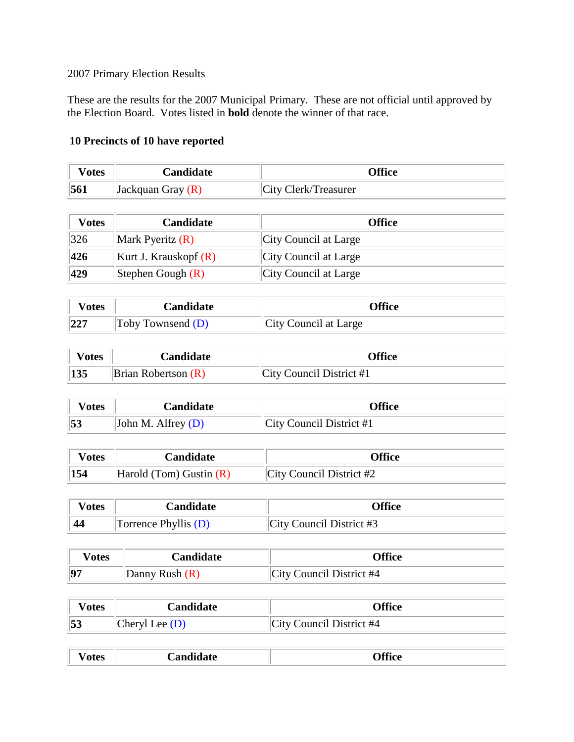## 2007 Primary Election Results

These are the results for the 2007 Municipal Primary. These are not official until approved by the Election Board. Votes listed in **bold** denote the winner of that race.

## **10 Precincts of 10 have reported**

| <b>otes</b> | <b>Landidate</b>      | <b>)ffice</b>        |
|-------------|-----------------------|----------------------|
| 561         | $ $ Jackquan Gray (R) | City Clerk/Treasurer |

| <b>Votes</b> | <b>Candidate</b>        | <b>Office</b>         |
|--------------|-------------------------|-----------------------|
| 326          | Mark Pyeritz $(R)$      | City Council at Large |
| 426          | Kurt J. Krauskopf $(R)$ | City Council at Large |
| 429          | Stephen Gough $(R)$     | City Council at Large |

| V otes | Candidate         | <b>Office</b>         |
|--------|-------------------|-----------------------|
| 227    | Toby Townsend (D) | City Council at Large |

| √otes | Candidate                       | <b>)ffice</b>            |
|-------|---------------------------------|--------------------------|
| 135   | $\exists$ Brian Robertson $(R)$ | City Council District #1 |

| √otes | Candidate            | <b>)ffice</b>            |
|-------|----------------------|--------------------------|
| 53    | John M. Alfrey $(D)$ | City Council District #1 |

| V otes | Candidate                           | <b>)ffice</b>               |
|--------|-------------------------------------|-----------------------------|
| 154    | $\forall$ Harold (Tom) Gustin $(R)$ | $ City$ Council District #2 |

| <b>V</b> otes | Candidate            | Office                      |
|---------------|----------------------|-----------------------------|
|               | Torrence Phyllis (D) | $ City$ Council District #3 |

| √otes | Candidate        | Office                   |
|-------|------------------|--------------------------|
| 97    | Danny Rush $(R)$ | City Council District #4 |

| 'otes | <b>Candidate</b> | <b>Office</b>                   |
|-------|------------------|---------------------------------|
| 53    | Cheryl Lee (D)   | <b>City Council District #4</b> |

| 100<br>_ _ _ _ _ _ _ _ _ _ | $ -$<br>. മൈ |  |
|----------------------------|--------------|--|
|----------------------------|--------------|--|